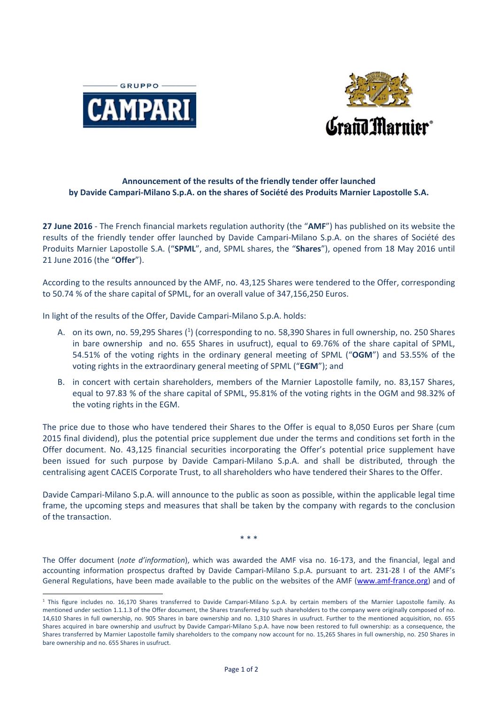



## **Announcement of the results of the friendly tender offer launched by Davide Campari‐Milano S.p.A. on the shares of Société des Produits Marnier Lapostolle S.A.**

**27 June 2016** ‐ The French financial markets regulation authority (the "**AMF**") has published on its website the results of the friendly tender offer launched by Davide Campari‐Milano S.p.A. on the shares of Société des Produits Marnier Lapostolle S.A. ("**SPML**", and, SPML shares, the "**Shares**"), opened from 18 May 2016 until 21 June 2016 (the "**Offer**").

According to the results announced by the AMF, no. 43,125 Shares were tendered to the Offer, corresponding to 50.74 % of the share capital of SPML, for an overall value of 347,156,250 Euros.

In light of the results of the Offer, Davide Campari‐Milano S.p.A. holds:

 $\overline{a}$ 

- A. on its own, no. 59,295 Shares (<sup>1</sup>) (corresponding to no. 58,390 Shares in full ownership, no. 250 Shares in bare ownership and no. 655 Shares in usufruct), equal to 69.76% of the share capital of SPML, 54.51% of the voting rights in the ordinary general meeting of SPML ("**OGM**") and 53.55% of the voting rights in the extraordinary general meeting of SPML ("**EGM**"); and
- B. in concert with certain shareholders, members of the Marnier Lapostolle family, no. 83,157 Shares, equal to 97.83 % of the share capital of SPML, 95.81% of the voting rights in the OGM and 98.32% of the voting rights in the EGM.

The price due to those who have tendered their Shares to the Offer is equal to 8,050 Euros per Share (cum 2015 final dividend), plus the potential price supplement due under the terms and conditions set forth in the Offer document. No. 43,125 financial securities incorporating the Offer's potential price supplement have been issued for such purpose by Davide Campari‐Milano S.p.A. and shall be distributed, through the centralising agent CACEIS Corporate Trust, to all shareholders who have tendered their Shares to the Offer.

Davide Campari‐Milano S.p.A. will announce to the public as soon as possible, within the applicable legal time frame, the upcoming steps and measures that shall be taken by the company with regards to the conclusion of the transaction.

\* \* \*

The Offer document (*note d'information*), which was awarded the AMF visa no. 16‐173, and the financial, legal and accounting information prospectus drafted by Davide Campari‐Milano S.p.A. pursuant to art. 231‐28 I of the AMF's General Regulations, have been made available to the public on the websites of the AMF (www.amf-france.org) and of

<sup>&</sup>lt;sup>1</sup> This figure includes no. 16,170 Shares transferred to Davide Campari-Milano S.p.A. by certain members of the Marnier Lapostolle family. As mentioned under section 1.1.1.3 of the Offer document, the Shares transferred by such shareholders to the company were originally composed of no. 14,610 Shares in full ownership, no. 905 Shares in bare ownership and no. 1,310 Shares in usufruct. Further to the mentioned acquisition, no. 655 Shares acquired in bare ownership and usufruct by Davide Campari‐Milano S.p.A. have now been restored to full ownership: as a consequence, the Shares transferred by Marnier Lapostolle family shareholders to the company now account for no. 15,265 Shares in full ownership, no. 250 Shares in bare ownership and no. 655 Shares in usufruct.